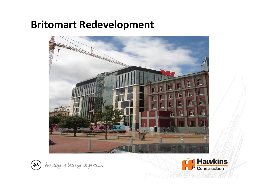### Britomart Redevelopment





(a) building a lasting impression

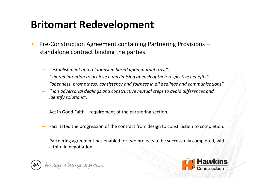## Britomart Redevelopment

- • Pre-Construction Agreement containing Partnering Provisions – standalone contract binding the parties
	- "establishment of a relationship based upon mutual trust".
	- "shared intention to achieve a maximising of each of their respective benefits".
	- "openness, promptness, consistency and fairness in all dealings and communications".
	- "non adversarial dealings and constructive mutual steps to avoid differences and identify solutions".
	- Act in Good Faith requirement of the partnering section.
	- Facilitated the progression of the contract from design to construction to completion.
	- Partnering agreement has enabled for two projects to be successfully completed, with a third in negotiation.



building a lasting impression

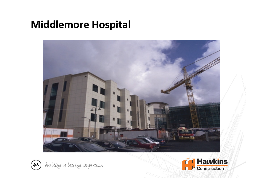### Middlemore Hospital





(2) building a lasting impression

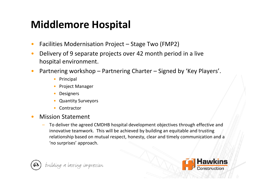# Middlemore Hospital

- •Facilities Modernisation Project – Stage Two (FMP2)
- • Delivery of 9 separate projects over 42 month period in a live hospital environment.
- • Partnering workshop – Partnering Charter – Signed by 'Key Players'.
	- Principal
	- Project Manager
	- •Designers
	- •Quantity Surveyors
	- $\bullet$ Contractor
- • Mission Statement
	- To deliver the agreed CMDHB hospital development objectives through effective and innovative teamwork. This will be achieved by building an equitable and trusting relationship based on mutual respect, honesty, clear and timely communication and a 'no surprises' approach.



building a lasting impression